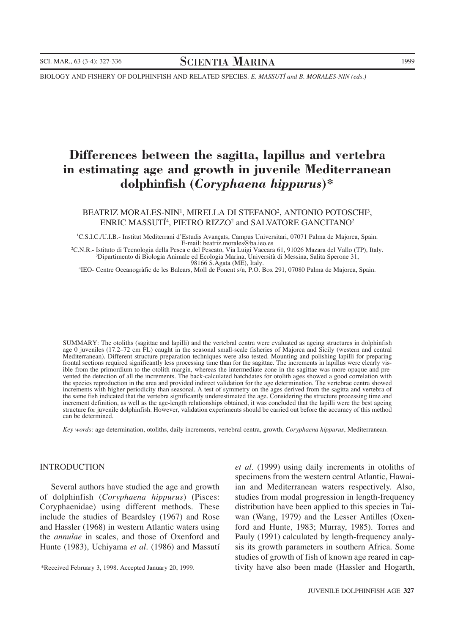BIOLOGY AND FISHERY OF DOLPHINFISH AND RELATED SPECIES. *E. MASSUTÍ and B. MORALES-NIN (eds.)*

# **Differences between the sagitta, lapillus and vertebra in estimating age and growth in juvenile Mediterranean dolphinfish (***Coryphaena hippurus***)\***

BEATRIZ MORALES-NIN<sup>1</sup>, MIRELLA DI STEFANO<sup>2</sup>, ANTONIO POTOSCHI<sup>3</sup>, ENRIC MASSUTÍ4 , PIETRO RIZZO2 and SALVATORE GANCITANO2

1 C.S.I.C./U.I.B.- Institut Mediterrani d'Estudis Avançats, Campus Universitari, 07071 Palma de Majorca, Spain. E-mail: beatriz.morales@ba.ieo.es<br>CNR - Istituto di Tecnologia della Pesca e del Pescato. Via Luigi Vaccar

C.N.R.- Istituto di Tecnologia della Pesca e del Pescato, Via Luigi Vaccara 61, 91026 Mazara del Vallo (TP), Italy. <sup>3</sup> Dipartimento di Biologia Animale ed Ecologia Marina, Università di Messina, Salita Sperone 31,

98166 S.Agata (ME), Italy. <sup>4</sup> IEO- Centre Oceanogràfic de les Balears, Moll de Ponent s/n, P.O. Box 291, 07080 Palma de Majorca, Spain.

SUMMARY: The otoliths (sagittae and lapilli) and the vertebral centra were evaluated as ageing structures in dolphinfish age 0 juveniles (17.2–72 cm FL) caught in the seasonal small-scale fisheries of Majorca and Sicily (western and central Mediterranean). Different structure preparation techniques were also tested. Mounting and polishing lapilli for preparing frontal sections required significantly less processing time than for the sagittae. The increments in lapillus were clearly visible from the primordium to the otolith margin, whereas the intermediate zone in the sagittae was more opaque and prevented the detection of all the increments. The back-calculated hatchdates for otolith ages showed a good correlation with the species reproduction in the area and provided indirect validation for the age determination. The vertebrae centra showed increments with higher periodicity than seasonal. A test of symmetry on the ages derived from the sagitta and vertebra of the same fish indicated that the vertebra significantly underestimated the age. Considering the structure processing time and increment definition, as well as the age-length relationships obtained, it was concluded that the lapilli were the best ageing structure for juvenile dolphinfish. However, validation experiments should be carried out before the accuracy of this method can be determined.

*Key words:* age determination, otoliths, daily increments, vertebral centra, growth, *Coryphaena hippurus*, Mediterranean.

#### INTRODUCTION

Several authors have studied the age and growth of dolphinfish (*Coryphaena hippurus*) (Pisces: Coryphaenidae) using different methods. These include the studies of Beardsley (1967) and Rose and Hassler (1968) in western Atlantic waters using the *annulae* in scales, and those of Oxenford and Hunte (1983), Uchiyama *et al.* (1986) and Massutí

*et al.* (1999) using daily increments in otoliths of specimens from the western central Atlantic, Hawaiian and Mediterranean waters respectively. Also, studies from modal progression in length-frequency distribution have been applied to this species in Taiwan (Wang, 1979) and the Lesser Antilles (Oxenford and Hunte, 1983; Murray, 1985). Torres and Pauly (1991) calculated by length-frequency analysis its growth parameters in southern Africa. Some studies of growth of fish of known age reared in captivity have also been made (Hassler and Hogarth,

<sup>\*</sup>Received February 3, 1998. Accepted January 20, 1999.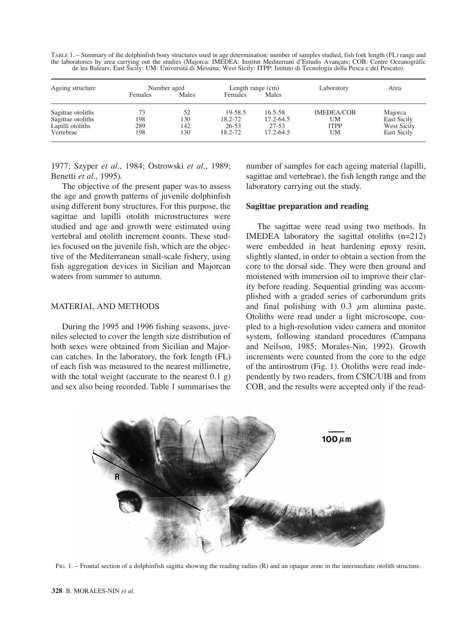TABLE 1. – Summary of the dolphinfish bony structures used in age determination: number of samples studied, fish fork length (FL) range and the laboratories by area carrying out the studies (Majorca: IMEDEA: Institut Mediterrani d'Estudis Avançats; COB: Centre Oceanogràfic de les Balears; East Sicily: UM: Universitá di Messina; West Sicily: ITPP: Istituto di Tecnologia della Pesca e del Pescato).

| Ageing structure  | Number aged |       | Length range (cm) |               | Laboratory  | Area               |
|-------------------|-------------|-------|-------------------|---------------|-------------|--------------------|
|                   | Females     | Males | Females           | Males         |             |                    |
| Sagittae otoliths | 73          | 52    | 19-58.5           | $16.5 - 58$   | IMEDEA/COB  | Majorca            |
| Sagittae otoliths | 198         | 130   | 18.2-72           | 17.2-64.5     | UM          | <b>East Sicily</b> |
| Lapilli otoliths  | 289         | 142   | $26 - 53$         | $27 - 53$     | <b>ITPP</b> | West Sicily        |
| Vertebrae         | 198         | 130   | 18.2-72           | $17.2 - 64.5$ | UM          | East Sicily        |

1977; Szyper *et al.*, 1984; Ostrowski *et al.*, 1989; Benetti *et al.*, 1995).

The objective of the present paper was to assess the age and growth patterns of juvenile dolphinfish using different bony structures. For this purpose, the sagittae and lapilli otolith microstructures were studied and age and growth were estimated using vertebral and otolith increment counts. These studies focused on the juvenile fish, which are the objective of the Mediterranean small-scale fishery, using fish aggregation devices in Sicilian and Majorcan waters from summer to autumn.

## MATERIAL AND METHODS

During the 1995 and 1996 fishing seasons, juveniles selected to cover the length size distribution of both sexes were obtained from Sicilian and Majorcan catches. In the laboratory, the fork length (FL) of each fish was measured to the nearest millimetre, with the total weight (accurate to the nearest  $0.1\ \text{g}$ ) and sex also being recorded. Table 1 summarises the

number of samples for each ageing material (lapilli, sagittae and vertebrae), the fish length range and the laboratory carrying out the study.

## **Sagittae preparation and reading**

The sagittae were read using two methods. In IMEDEA laboratory the sagittal otoliths (n=212) were embedded in heat hardening epoxy resin, slightly slanted, in order to obtain a section from the core to the dorsal side. They were then ground and moistened with immersion oil to improve their clarity before reading. Sequential grinding was accomplished with a graded series of carborundum grits and final polishing with  $0.3 \mu$ m alumina paste. Otoliths were read under a light microscope, coupled to a high-resolution video camera and monitor system, following standard procedures (Campana and Neilson, 1985; Morales-Nin, 1992). Growth increments were counted from the core to the edge of the antirostrum (Fig. 1). Otoliths were read independently by two readers, from CSIC/UIB and from COB, and the results were accepted only if the read-



FIG. 1. – Frontal section of a dolphinfish sagitta showing the reading radius (R) and an opaque zone in the intermediate otolith structure.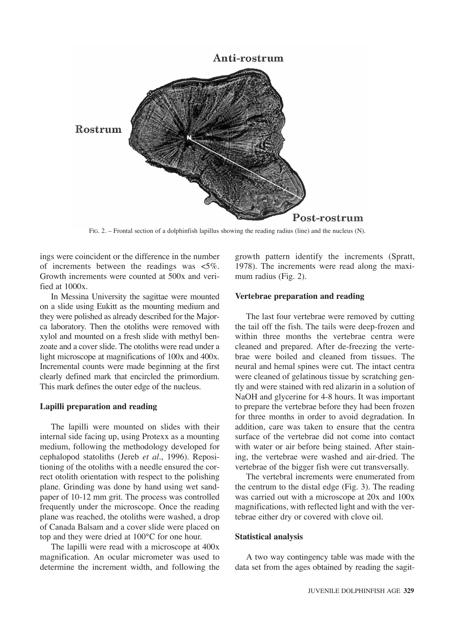

FIG. 2. – Frontal section of a dolphinfish lapillus showing the reading radius (line) and the nucleus (N).

ings were coincident or the difference in the number of increments between the readings was <5%. Growth increments were counted at 500x and verified at 1000x.

In Messina University the sagittae were mounted on a slide using Eukitt as the mounting medium and they were polished as already described for the Majorca laboratory. Then the otoliths were removed with xylol and mounted on a fresh slide with methyl benzoate and a cover slide. The otoliths were read under a light microscope at magnifications of 100x and 400x. Incremental counts were made beginning at the first clearly defined mark that encircled the primordium. This mark defines the outer edge of the nucleus.

# **Lapilli preparation and reading**

The lapilli were mounted on slides with their internal side facing up, using Protexx as a mounting medium, following the methodology developed for cephalopod statoliths (Jereb *et al.*, 1996). Repositioning of the otoliths with a needle ensured the correct otolith orientation with respect to the polishing plane. Grinding was done by hand using wet sandpaper of 10-12 mm grit. The process was controlled frequently under the microscope. Once the reading plane was reached, the otoliths were washed, a drop of Canada Balsam and a cover slide were placed on top and they were dried at 100°C for one hour.

The lapilli were read with a microscope at 400x magnification. An ocular micrometer was used to determine the increment width, and following the growth pattern identify the increments (Spratt, 1978). The increments were read along the maximum radius (Fig. 2).

### **Vertebrae preparation and reading**

The last four vertebrae were removed by cutting the tail off the fish. The tails were deep-frozen and within three months the vertebrae centra were cleaned and prepared. After de-freezing the vertebrae were boiled and cleaned from tissues. The neural and hemal spines were cut. The intact centra were cleaned of gelatinous tissue by scratching gently and were stained with red alizarin in a solution of NaOH and glycerine for 4-8 hours. It was important to prepare the vertebrae before they had been frozen for three months in order to avoid degradation. In addition, care was taken to ensure that the centra surface of the vertebrae did not come into contact with water or air before being stained. After staining, the vertebrae were washed and air-dried. The vertebrae of the bigger fish were cut transversally.

The vertebral increments were enumerated from the centrum to the distal edge (Fig. 3). The reading was carried out with a microscope at 20x and 100x magnifications, with reflected light and with the vertebrae either dry or covered with clove oil.

## **Statistical analysis**

A two way contingency table was made with the data set from the ages obtained by reading the sagit-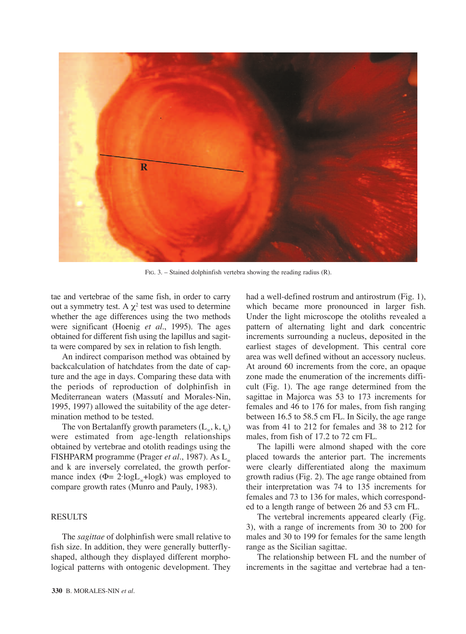

FIG. 3. – Stained dolphinfish vertebra showing the reading radius (R).

tae and vertebrae of the same fish, in order to carry out a symmetry test. A  $χ²$  test was used to determine whether the age differences using the two methods were significant (Hoenig *et al.*, 1995). The ages obtained for different fish using the lapillus and sagitta were compared by sex in relation to fish length.

An indirect comparison method was obtained by backcalculation of hatchdates from the date of capture and the age in days. Comparing these data with the periods of reproduction of dolphinfish in Mediterranean waters (Massutí and Morales-Nin, 1995, 1997) allowed the suitability of the age determination method to be tested.

The von Bertalanffy growth parameters  $(L_{\infty}, k, t_0)$ were estimated from age-length relationships obtained by vertebrae and otolith readings using the FISHPARM programme (Prager *et al.*, 1987). As L<sup>∞</sup> and k are inversely correlated, the growth performance index ( $\Phi$ = 2·logL<sub>∞</sub>+logk) was employed to compare growth rates (Munro and Pauly, 1983).

# **RESULTS**

The *sagittae* of dolphinfish were small relative to fish size. In addition, they were generally butterflyshaped, although they displayed different morphological patterns with ontogenic development. They

had a well-defined rostrum and antirostrum (Fig. 1), which became more pronounced in larger fish. Under the light microscope the otoliths revealed a pattern of alternating light and dark concentric increments surrounding a nucleus, deposited in the earliest stages of development. This central core area was well defined without an accessory nucleus. At around 60 increments from the core, an opaque zone made the enumeration of the increments difficult (Fig. 1). The age range determined from the sagittae in Majorca was 53 to 173 increments for females and 46 to 176 for males, from fish ranging between 16.5 to 58.5 cm FL. In Sicily, the age range was from 41 to 212 for females and 38 to 212 for males, from fish of 17.2 to 72 cm FL.

The lapilli were almond shaped with the core placed towards the anterior part. The increments were clearly differentiated along the maximum growth radius (Fig. 2). The age range obtained from their interpretation was 74 to 135 increments for females and 73 to 136 for males, which corresponded to a length range of between 26 and 53 cm FL.

The vertebral increments appeared clearly (Fig. 3), with a range of increments from 30 to 200 for males and 30 to 199 for females for the same length range as the Sicilian sagittae.

The relationship between FL and the number of increments in the sagittae and vertebrae had a ten-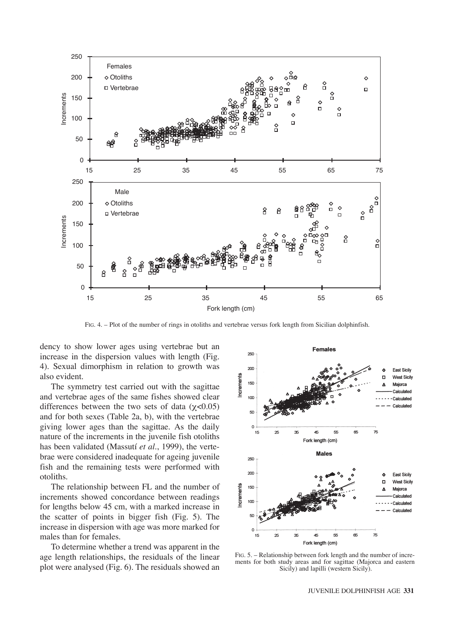

FIG. 4. – Plot of the number of rings in otoliths and vertebrae versus fork length from Sicilian dolphinfish.

dency to show lower ages using vertebrae but an increase in the dispersion values with length (Fig. 4). Sexual dimorphism in relation to growth was also evident.

The symmetry test carried out with the sagittae and vertebrae ages of the same fishes showed clear differences between the two sets of data  $(\gamma < 0.05)$ and for both sexes (Table 2a, b), with the vertebrae giving lower ages than the sagittae. As the daily nature of the increments in the juvenile fish otoliths has been validated (Massutí *et al*., 1999), the vertebrae were considered inadequate for ageing juvenile fish and the remaining tests were performed with otoliths.

The relationship between FL and the number of increments showed concordance between readings for lengths below 45 cm, with a marked increase in the scatter of points in bigger fish (Fig. 5). The increase in dispersion with age was more marked for males than for females.

To determine whether a trend was apparent in the age length relationships, the residuals of the linear plot were analysed (Fig. 6). The residuals showed an



FIG. 5. – Relationship between fork length and the number of increments for both study areas and for sagittae (Majorca and eastern Sicily) and lapilli (western Sicily).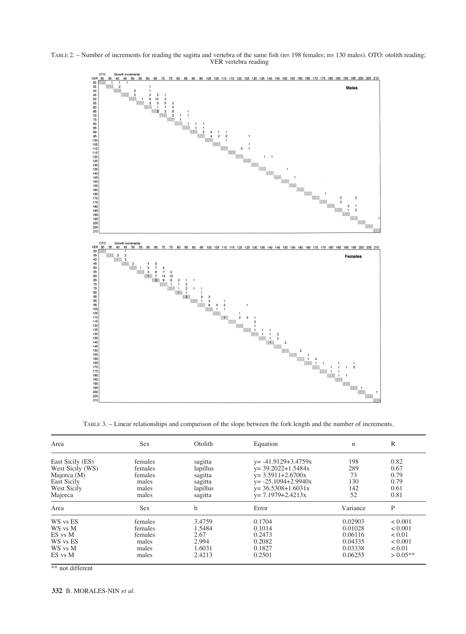



TABLE 3. – Linear relationships and comparison of the slope between the fork length and the number of increments.

| Area             | <b>Sex</b> | Otolith  | Equation                 | $\mathbf n$ | R          |
|------------------|------------|----------|--------------------------|-------------|------------|
| East Sicily (ES) | females    | sagitta  | $y = -41.9129 + 3.4759x$ | 198         | 0.82       |
| West Sicily (WS) | females    | lapillus | $y = 39.2022 + 1.5484x$  | 289         | 0.67       |
| Majorca (M)      | females    | sagitta  | $y = 3.5911 + 2.6700x$   | 73          | 0.79       |
| East Sicily      | males      | sagitta  | $y = -25.1094 + 2.9940x$ | 130         | 0.79       |
| West Sicily      | males      | lapillus | $y = 36.5308 + 1.6031x$  | 142         | 0.61       |
| Majorca          | males      | sagitta  | $y = 7.1979 + 2.4213x$   | 52          | 0.81       |
| Area             | Sex        | b        | Error                    | Variance    | P          |
| WS vs ES         | females    | 3.4759   | 0.1704                   | 0.02903     | < 0.001    |
| WS vs M          | females    | 1.5484   | 0.1014                   | 0.01028     | < 0.001    |
| ES vs M          | females    | 2.67     | 0.2473                   | 0.06116     | < 0.01     |
| WS vs ES         | males      | 2.994    | 0.2082                   | 0.04335     | < 0.001    |
| WS vs M          | males      | 1.6031   | 0.1827                   | 0.03338     | < 0.01     |
| ES vs M          | males      | 2.4213   | 0.2501                   | 0.06255     | $> 0.05**$ |

\*\* not different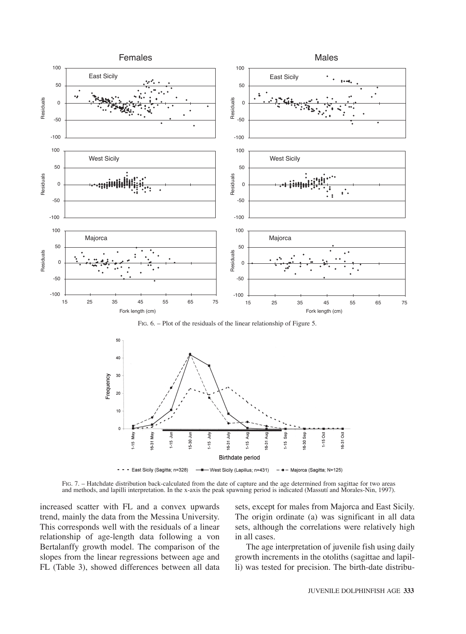

FIG. 6. – Plot of the residuals of the linear relationship of Figure 5.



FIG. 7. – Hatchdate distribution back-calculated from the date of capture and the age determined from sagittae for two areas and methods, and lapilli interpretation. In the x-axis the peak spawning period is indicated (Massutí and Morales-Nin, 1997).

increased scatter with FL and a convex upwards trend, mainly the data from the Messina University. This corresponds well with the residuals of a linear relationship of age-length data following a von Bertalanffy growth model. The comparison of the slopes from the linear regressions between age and FL (Table 3), showed differences between all data sets, except for males from Majorca and East Sicily. The origin ordinate (a) was significant in all data sets, although the correlations were relatively high in all cases.

The age interpretation of juvenile fish using daily growth increments in the otoliths (sagittae and lapilli) was tested for precision. The birth-date distribu-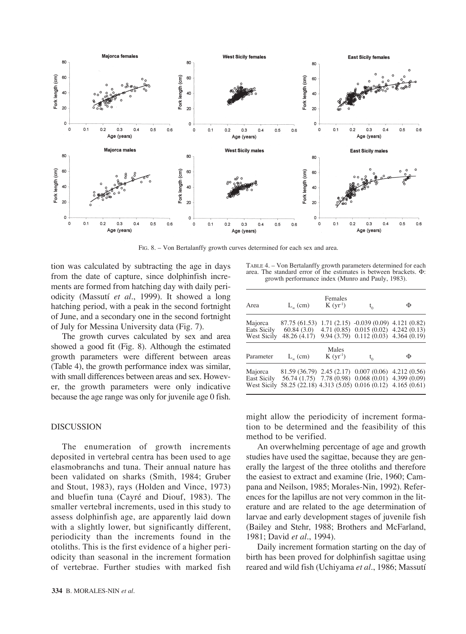

FIG. 8. – Von Bertalanffy growth curves determined for each sex and area.

tion was calculated by subtracting the age in days from the date of capture, since dolphinfish increments are formed from hatching day with daily periodicity (Massutí *et al*., 1999). It showed a long hatching period, with a peak in the second fortnight of June, and a secondary one in the second fortnight of July for Messina University data (Fig. 7).

The growth curves calculated by sex and area showed a good fit (Fig. 8). Although the estimated growth parameters were different between areas (Table 4), the growth performance index was similar, with small differences between areas and sex. However, the growth parameters were only indicative because the age range was only for juvenile age 0 fish.

#### DISCUSSION

The enumeration of growth increments deposited in vertebral centra has been used to age elasmobranchs and tuna. Their annual nature has been validated on sharks (Smith, 1984; Gruber and Stout, 1983), rays (Holden and Vince, 1973) and bluefin tuna (Cayré and Diouf, 1983). The smaller vertebral increments, used in this study to assess dolphinfish age, are apparently laid down with a slightly lower, but significantly different, periodicity than the increments found in the otoliths. This is the first evidence of a higher periodicity than seasonal in the increment formation of vertebrae. Further studies with marked fish

TABLE 4. – Von Bertalanffy growth parameters determined for each area. The standard error of the estimates is between brackets. Φ: growth performance index (Munro and Pauly, 1983).

| Area                                  | $L_{\alpha}$ (cm)                                                                                           | Females<br>K (yr <sup>1</sup> ) | $t_{0}$                                                                                                                        | Φ |
|---------------------------------------|-------------------------------------------------------------------------------------------------------------|---------------------------------|--------------------------------------------------------------------------------------------------------------------------------|---|
| Majorca<br>Eats Sicily<br>West Sicily | 87.75 (61.53)<br>60.84(3.0)<br>48.26 (4.17)                                                                 |                                 | $1.71(2.15) -0.039(0.09)$ 4.121 (0.82)<br>$4.71(0.85)$ $0.015(0.02)$ $4.242(0.13)$<br>$9.94(3.79)$ $0.112(0.03)$ $4.364(0.19)$ |   |
| Parameter                             | $L_{\infty}$ (cm)                                                                                           | Males<br>K (yr <sup>1</sup> )   | $t_{0}$                                                                                                                        | Φ |
| Majorca<br>East Sicily<br>West Sicily | 81.59 (36.79) 2.45 (2.17) 0.007 (0.06) 4.212 (0.56)<br>58.25 (22.18) 4.313 (5.05) 0.016 (0.12) 4.165 (0.61) |                                 | 56.74 (1.75) 7.78 (0.98) 0.068 (0.01) 4.399 (0.09)                                                                             |   |

might allow the periodicity of increment formation to be determined and the feasibility of this method to be verified.

An overwhelming percentage of age and growth studies have used the sagittae, because they are generally the largest of the three otoliths and therefore the easiest to extract and examine (Irie, 1960; Campana and Neilson, 1985; Morales-Nin, 1992). References for the lapillus are not very common in the literature and are related to the age determination of larvae and early development stages of juvenile fish (Bailey and Stehr, 1988; Brothers and McFarland, 1981; David *et al.*, 1994).

Daily increment formation starting on the day of birth has been proved for dolphinfish sagittae using reared and wild fish (Uchiyama *et al.*, 1986; Massutí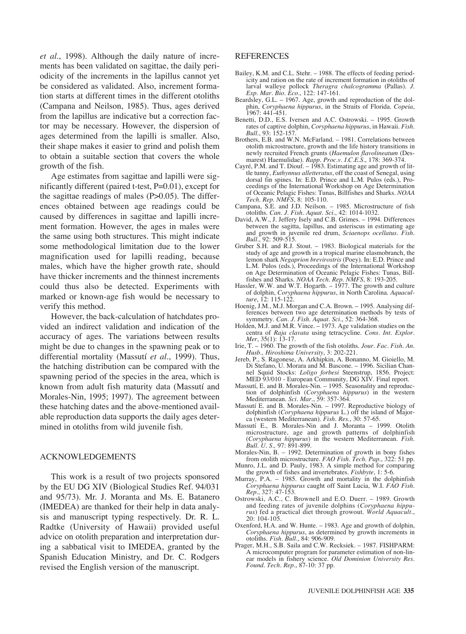*et al.*, 1998). Although the daily nature of increments has been validated on sagittae, the daily periodicity of the increments in the lapillus cannot yet be considered as validated. Also, increment formation starts at different times in the different otoliths (Campana and Neilson, 1985). Thus, ages derived from the lapillus are indicative but a correction factor may be necessary. However, the dispersion of ages determined from the lapilli is smaller. Also, their shape makes it easier to grind and polish them to obtain a suitable section that covers the whole growth of the fish.

Age estimates from sagittae and lapilli were significantly different (paired t-test, P=0.01), except for the sagittae readings of males  $(P>0.05)$ . The differences obtained between age readings could be caused by differences in sagittae and lapilli increment formation. However, the ages in males were the same using both structures. This might indicate some methodological limitation due to the lower magnification used for lapilli reading, because males, which have the higher growth rate, should have thicker increments and the thinnest increments could thus also be detected. Experiments with marked or known-age fish would be necessary to verify this method.

However, the back-calculation of hatchdates provided an indirect validation and indication of the accuracy of ages. The variations between results might be due to changes in the spawning peak or to differential mortality (Massutí *et al.*, 1999). Thus, the hatching distribution can be compared with the spawning period of the species in the area, which is known from adult fish maturity data (Massutí and Morales-Nin, 1995; 1997). The agreement between these hatching dates and the above-mentioned available reproduction data supports the daily ages determined in otoliths from wild juvenile fish.

#### ACKNOWLEDGEMENTS

This work is a result of two projects sponsored by the EU DG XIV (Biological Studies Ref. 94/031 and 95/73). Mr. J. Moranta and Ms. E. Batanero (IMEDEA) are thanked for their help in data analysis and manuscript typing respectively. Dr. R. L. Radtke (University of Hawaii) provided useful advice on otolith preparation and interpretation during a sabbatical visit to IMEDEA, granted by the Spanish Education Ministry, and Dr. C. Rodgers revised the English version of the manuscript.

#### REFERENCES

- Bailey, K.M. and C.L. Stehr. 1988. The effects of feeding periodicity and ration on the rate of increment formation in otoliths of larval walleye pollock *Theragra chalcogramma* (Pallas). *J. Exp. Mar. Bio. Eco.*, 122: 147-161.
- Beardsley, G.L. 1967. Age, growth and reproduction of the dolphin, *Coryphaena hippurus*, in the Straits of Florida. *Copeia*, 1967: 441-451.
- Benetti, D.D., E.S. Iversen and A.C. Ostrowski. 1995. Growth rates of captive dolphin, *Coryphaena hippurus*, in Hawaii. *Fish. Bull.*, 93: 152-157.
- Brothers, E.B. and W.N. McFarland. 1981. Correlations between otolith microstructure, growth and the life history transitions in newly recruited French grunts (*Haemulon flavolineatum* (Desmarest) Haemulidae). *Rapp. Proc.v. I.C.E.S.*, 178: 369-374.
- Cayré, P.M. and T. Diouf. 1983. Estimating age and growth of little tunny, *Euthynnus alletteratus*, off the coast of Senegal, using dorsal fin spines. In: E.D. Prince and L.M. Pulos (eds.), Proceedings of the International Workshop on Age Determination of Oceanic Pelagic Fishes: Tunas, Billfishes and Sharks. *NOAA Tech. Rep. NMFS*, 8: 105-110.
- Campana, S.E. and J.D. Neilson. 1985. Microstructure of fish otoliths. *Can. J. Fish. Aquat. Sci.*, 42: 1014-1032.
- David, A.W., J. Jeffery Isely and C.B. Grimes. 1994. Differences between the sagitta, lapillus, and asteriscus in estimating age and growth in juvenile red drum, *Sciaenops ocellatus. Fish. Bull.*, 92: 509-515.
- Gruber S.H. and R.J. Stout. 1983. Biological materials for the study of age and growth in a tropical marine elasmobranch, the lemon shark *Negaprion brevirostris* (Poey). In: E.D. Prince and L.M. Pulos (eds.), Proceedings of the International Workshop on Age Determination of Oceanic Pelagic Fishes: Tunas, Billfishes and Sharks. *NOAA Tech. Rep. NMFS*, 8: 193-205.
- Hassler, W.W. and W.T. Hogarth. 1977. The growth and culture of dolphin, *Coryphaena hippurus*, in North Carolina. *Aquaculture*, 12: 115-122.
- Hoenig, J.M., M.J. Morgan and C.A. Brown. 1995. Analysing differences between two age determination methods by tests of symmetry. *Can. J. Fish. Aquat. Sci.*, 52: 364-368.
- Holden, M.J. and M.R. Vince. 1973. Age validation studies on the centra of *Raja clavata* using tetracycline. *Cons. Int. Explor. Mer*, 35(1): 13-17.
- Irie, T. 1960. The growth of the fish otoliths. *Jour. Fac. Fish. An. Husb., Hiroshima University*, 3: 202-221.
- Jereb, P., S. Ragonese, A. Arkhipkin, A. Bonanno, M. Gioiello, M. Di Stefano, U. Morara and M. Bascone. – 1996. Sicilian Channel Squid Stocks: *Loligo forbesi* Steenstrup, 1856. Project: MED 93/010 - European Community, DG XIV. Final report.
- Massutí, E. and B. Morales-Nin. 1995. Seasonality and reproduction of dolphinfish (*Coryphaena hippurus*) in the western Mediterranean. *Sci. Mar.*, 59: 357-364.
- Massutí E. and B. Morales-Nin. 1997. Reproductive biology of dolphinfish (*Coryphaena hippurus* L.) off the island of Majorca (western Mediterranean). *Fish. Res.*, 30: 57-65.
- Massutí E., B. Morales-Nin and J. Moranta 1999. Otolith microstructure, age and growth patterns of dolphinfish (*Coryphaena hippurus*) in the western Mediterranean. *Fish. Bull. U. S., 97: 891-899.*
- Morales-Nin, B. 1992. Determination of growth in bony fishes from otolith microstructure. *FAO Fish. Tech. Pap.*, 322: 51 pp.
- Munro, J.L. and D. Pauly, 1983. A simple method for comparing the growth of fishes and invertebrates. *Fishbyte*, 1: 5-6.
- Murray, P.A. 1985. Growth and mortality in the dolphinfish *Coryphaena hippurus* caught off Saint Lucia, W.I. *FAO Fish. Rep.*, 327: 47-153.
- Ostrowski, A.C., C. Brownell and E.O. Duerr. 1989. Growth and feeding rates of juvenile dolphins (*Coryphaena hippurus*) fed a practical diet through growout. *World Aquacult.*, 20: 104-105.
- Oxenford, H.A. and W. Hunte. 1983. Age and growth of dolphin, *Coryphaena hippurus*, as determined by growth increments in otoliths. *Fish. Bull.*, 84: 906-909.
- Prager, M.H., S.B. Saila and C.W. Recksiek. 1987. FISHPARM: A microcomputer program for parameter estimation of non-linear models in fishery science. *Old Dominion University Res. Found. Tech. Rep.*, 87-10: 37 pp.